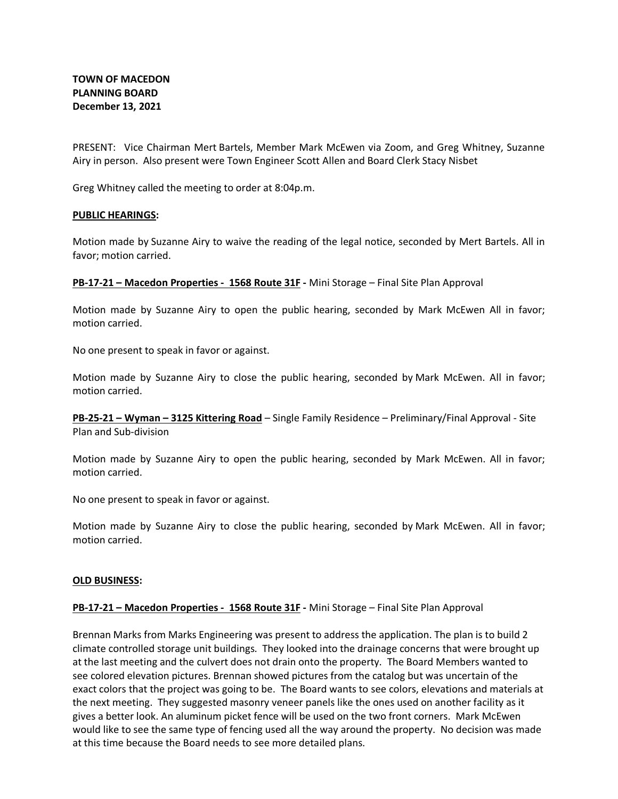PRESENT: Vice Chairman Mert Bartels, Member Mark McEwen via Zoom, and Greg Whitney, Suzanne Airy in person. Also present were Town Engineer Scott Allen and Board Clerk Stacy Nisbet

Greg Whitney called the meeting to order at 8:04p.m.

## **PUBLIC HEARINGS:**

Motion made by Suzanne Airy to waive the reading of the legal notice, seconded by Mert Bartels. All in favor; motion carried.

**PB-17-21 – Macedon Properties - 1568 Route 31F -** Mini Storage – Final Site Plan Approval

Motion made by Suzanne Airy to open the public hearing, seconded by Mark McEwen All in favor; motion carried.

No one present to speak in favor or against.

Motion made by Suzanne Airy to close the public hearing, seconded by Mark McEwen. All in favor; motion carried.

**PB-25-21 – Wyman – 3125 Kittering Road** – Single Family Residence – Preliminary/Final Approval - Site Plan and Sub-division

Motion made by Suzanne Airy to open the public hearing, seconded by Mark McEwen. All in favor; motion carried.

No one present to speak in favor or against.

Motion made by Suzanne Airy to close the public hearing, seconded by Mark McEwen. All in favor; motion carried.

## **OLD BUSINESS:**

# **PB-17-21 – Macedon Properties - 1568 Route 31F -** Mini Storage – Final Site Plan Approval

Brennan Marks from Marks Engineering was present to address the application. The plan is to build 2 climate controlled storage unit buildings. They looked into the drainage concerns that were brought up at the last meeting and the culvert does not drain onto the property. The Board Members wanted to see colored elevation pictures. Brennan showed pictures from the catalog but was uncertain of the exact colors that the project was going to be. The Board wants to see colors, elevations and materials at the next meeting. They suggested masonry veneer panels like the ones used on another facility as it gives a better look. An aluminum picket fence will be used on the two front corners. Mark McEwen would like to see the same type of fencing used all the way around the property. No decision was made at this time because the Board needs to see more detailed plans.